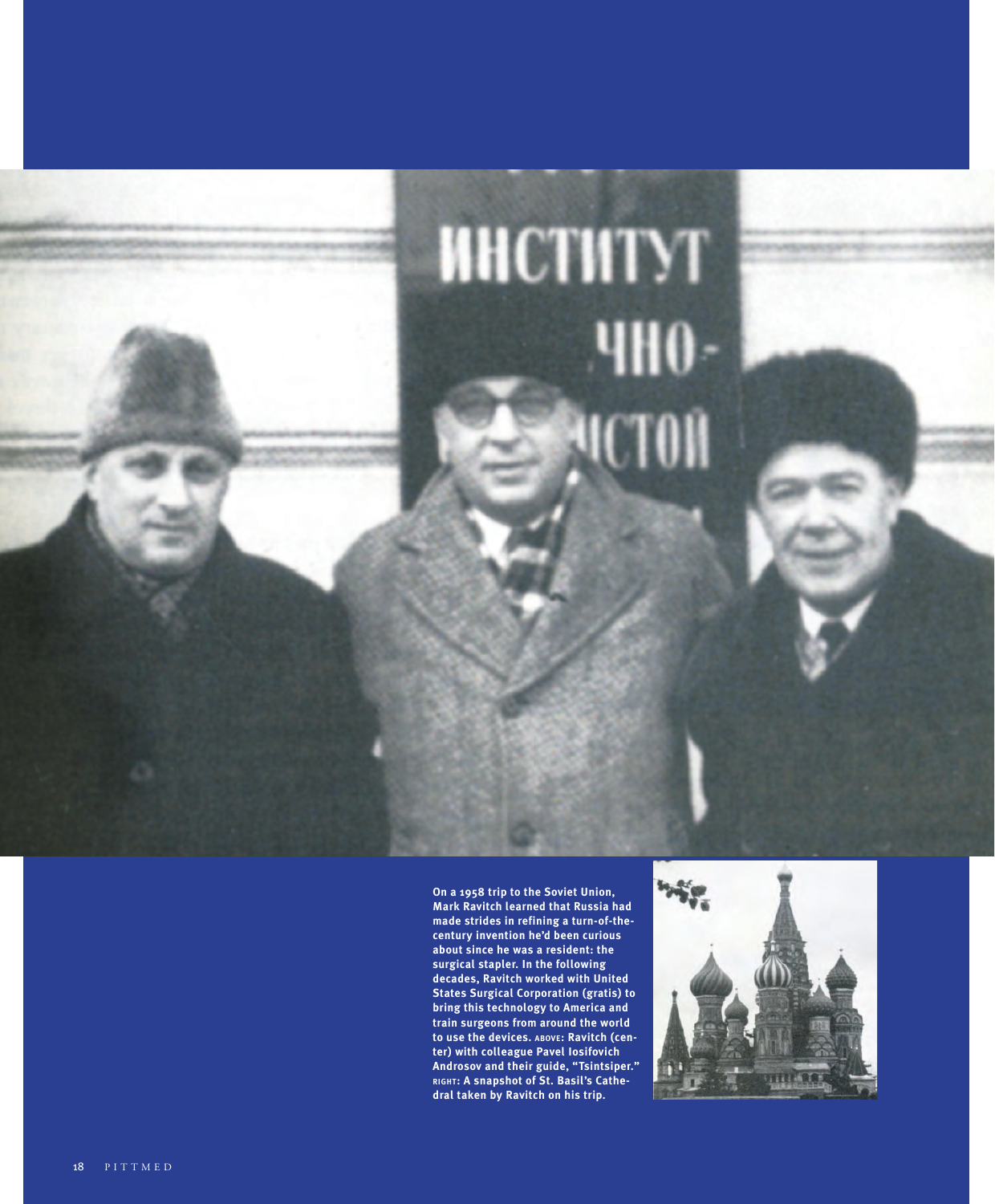

**On a 1958 trip to the Soviet Union, Mark Ravitch learned that Russia had made strides in refining a turn-of-thecentury invention he'd been curious about since he was a resident: the surgical stapler. In the following decades, Ravitch worked with United States Surgical Corporation (gratis) to bring this technology to America and train surgeons from around the world to use the devices. above : Ravitch (cen ter) with colleague Pavel Iosifovich Androsov and their guide, "Tsintsiper." right : A snapshot of St. Basil's Cathe dral taken by Ravitch on his trip.** 

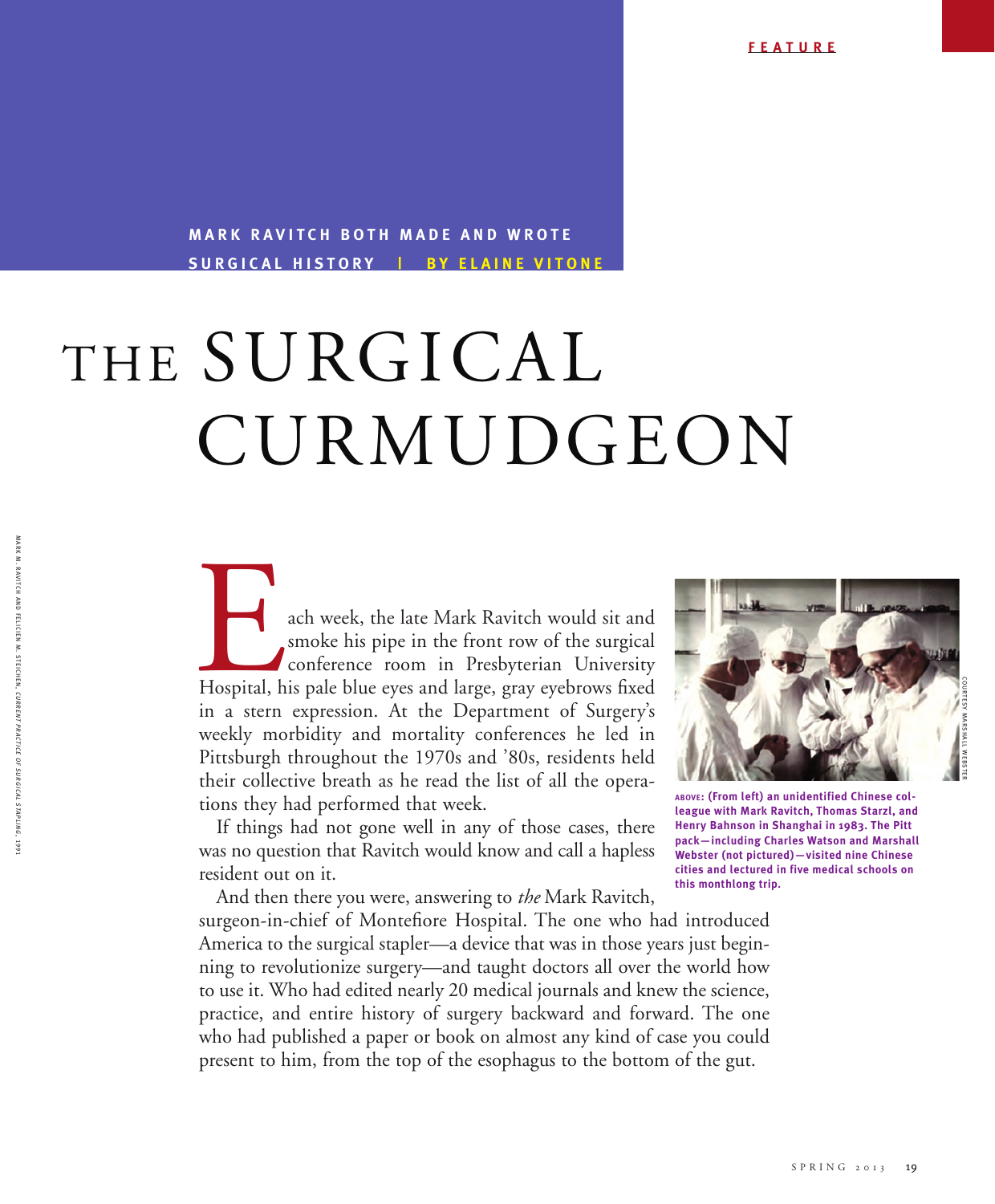## **MARK RAVITCH BOTH MADE AND WROTE surgical history | B y E laine V itone**

## CURMUDGEON THE SURGICAL

ach week, the late Mark Ravitch would sit and smoke his pipe in the front row of the surgical conference room in Presbyterian University Hospital, his pale blue eyes and large, gray eyebrows fixed smoke his pipe in the front row of the surgical conference room in Presbyterian University in a stern expression. At the Department of Surgery's weekly morbidity and mortality conferences he led in Pittsburgh throughout the 1970s and '80s, residents held their collective breath as he read the list of all the operations they had performed that week.

If things had not gone well in any of those cases, there was no question that Ravitch would know and call a hapless resident out on it.

And then there you were, answering to *the* Mark Ravitch, surgeon-in-chief of Montefiore Hospital. The one who had introduced America to the surgical stapler—a device that was in those years just beginning to revolutionize surgery—and taught doctors all over the world how to use it. Who had edited nearly 20 medical journals and knew the science, practice, and entire history of surgery backward and forward. The one who had published a paper or book on almost any kind of case you could present to him, from the top of the esophagus to the bottom of the gut.



**above: (From left) an unidentified Chinese colleague with Mark Ravitch, Thomas Starzl, and Henry Bahnson in Shanghai in 1983. The Pitt pack—including Charles Watson and Marshall Webster (not pictured)—visited nine Chinese cities and lectured in five medical schools on this monthlong trip.** 

**MARK** 

 $SPRING 2013 19$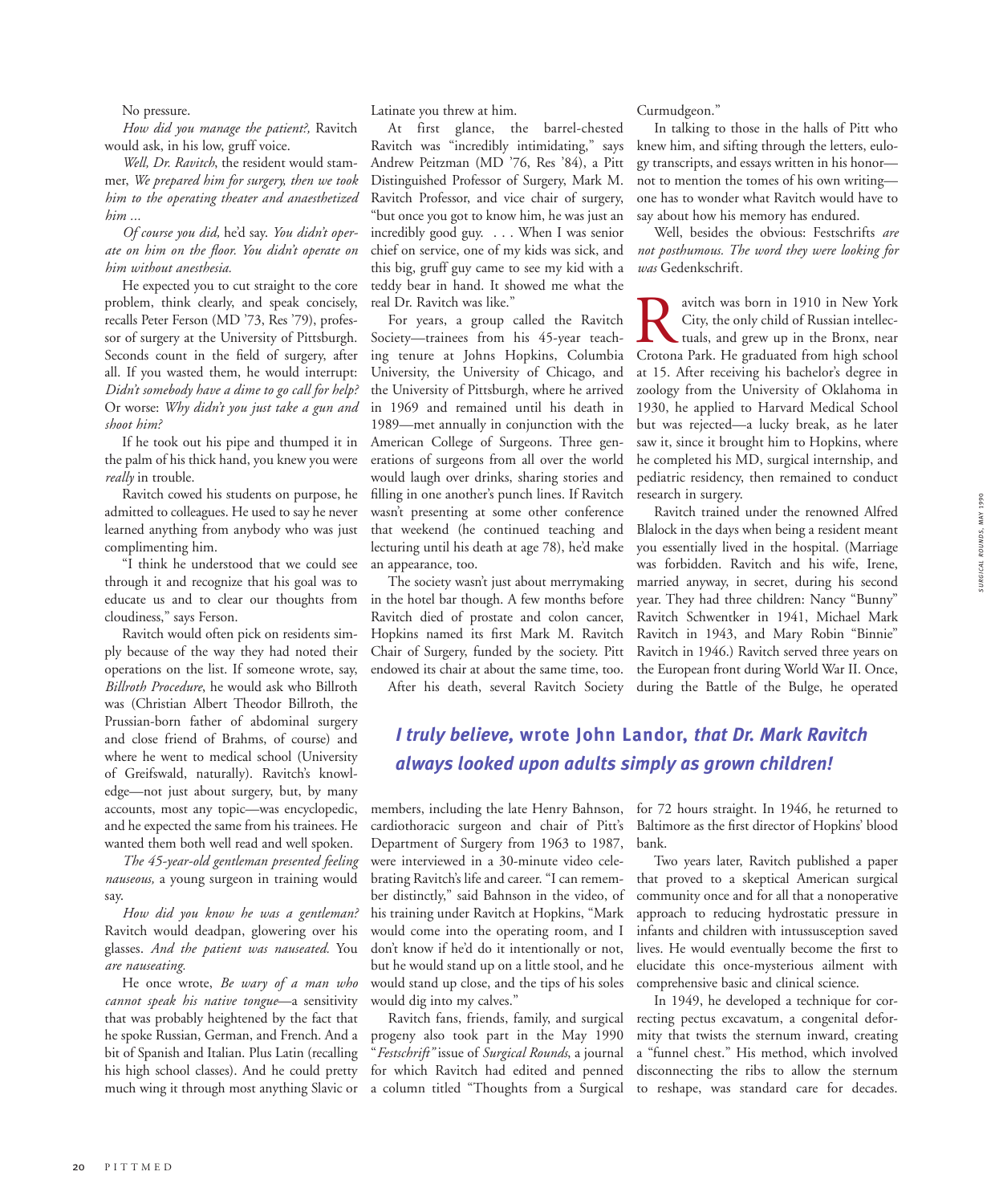No pressure.

*How did you manage the patient?,* Ravitch would ask, in his low, gruff voice.

*Well, Dr. Ravitch*, the resident would stammer, *We prepared him for surgery, then we took him to the operating theater and anaesthetized him ...* 

*Of course you did,* he'd say. *You didn't operate on him on the floor. You didn't operate on him without anesthesia.*

He expected you to cut straight to the core problem, think clearly, and speak concisely, recalls Peter Ferson (MD '73, Res '79), professor of surgery at the University of Pittsburgh. Seconds count in the field of surgery, after all. If you wasted them, he would interrupt: *Didn't somebody have a dime to go call for help?* Or worse: *Why didn't you just take a gun and shoot him?*

If he took out his pipe and thumped it in the palm of his thick hand, you knew you were *really* in trouble.

Ravitch cowed his students on purpose, he admitted to colleagues. He used to say he never learned anything from anybody who was just complimenting him.

"I think he understood that we could see through it and recognize that his goal was to educate us and to clear our thoughts from cloudiness," says Ferson.

Ravitch would often pick on residents simply because of the way they had noted their operations on the list. If someone wrote, say, *Billroth Procedure*, he would ask who Billroth was (Christian Albert Theodor Billroth, the Prussian-born father of abdominal surgery and close friend of Brahms, of course) and where he went to medical school (University of Greifswald, naturally). Ravitch's knowledge—not just about surgery, but, by many accounts, most any topic—was encyclopedic, and he expected the same from his trainees. He wanted them both well read and well spoken.

*The 45-year-old gentleman presented feeling nauseous,* a young surgeon in training would say.

*How did you know he was a gentleman?* Ravitch would deadpan, glowering over his glasses. *And the patient was nauseated.* You *are nauseating.*

He once wrote, *Be wary of a man who cannot speak his native tongue*—a sensitivity that was probably heightened by the fact that he spoke Russian, German, and French. And a bit of Spanish and Italian. Plus Latin (recalling his high school classes). And he could pretty much wing it through most anything Slavic or

Latinate you threw at him.

At first glance, the barrel-chested Ravitch was "incredibly intimidating," says Andrew Peitzman (MD '76, Res '84), a Pitt Distinguished Professor of Surgery, Mark M. Ravitch Professor, and vice chair of surgery, "but once you got to know him, he was just an incredibly good guy. . . . When I was senior chief on service, one of my kids was sick, and this big, gruff guy came to see my kid with a teddy bear in hand. It showed me what the real Dr. Ravitch was like."

For years, a group called the Ravitch Society—trainees from his 45-year teaching tenure at Johns Hopkins, Columbia University, the University of Chicago, and the University of Pittsburgh, where he arrived in 1969 and remained until his death in 1989—met annually in conjunction with the American College of Surgeons. Three generations of surgeons from all over the world would laugh over drinks, sharing stories and filling in one another's punch lines. If Ravitch wasn't presenting at some other conference that weekend (he continued teaching and lecturing until his death at age 78), he'd make an appearance, too.

The society wasn't just about merrymaking in the hotel bar though. A few months before Ravitch died of prostate and colon cancer, Hopkins named its first Mark M. Ravitch Chair of Surgery, funded by the society. Pitt endowed its chair at about the same time, too.

After his death, several Ravitch Society

Curmudgeon."

In talking to those in the halls of Pitt who knew him, and sifting through the letters, eulogy transcripts, and essays written in his honor not to mention the tomes of his own writing one has to wonder what Ravitch would have to say about how his memory has endured.

Well, besides the obvious: Festschrifts *are not posthumous. The word they were looking for was* Gedenkschrift*.* 

**Ravitch was born in 1910 in New York**<br>City, the only child of Russian intellectuals, and grew up in the Bronx, near<br>Crotona Park He graduated from high school City, the only child of Russian intellectuals, and grew up in the Bronx, near Crotona Park. He graduated from high school at 15. After receiving his bachelor's degree in zoology from the University of Oklahoma in 1930, he applied to Harvard Medical School but was rejected—a lucky break, as he later saw it, since it brought him to Hopkins, where he completed his MD, surgical internship, and pediatric residency, then remained to conduct research in surgery.

Ravitch trained under the renowned Alfred Blalock in the days when being a resident meant you essentially lived in the hospital. (Marriage was forbidden. Ravitch and his wife, Irene, married anyway, in secret, during his second year. They had three children: Nancy "Bunny" Ravitch Schwentker in 1941, Michael Mark Ravitch in 1943, and Mary Robin "Binnie" Ravitch in 1946.) Ravitch served three years on the European front during World War II. Once, during the Battle of the Bulge, he operated

*I truly believe,* **wrote John Landor,** *that Dr. Mark Ravitch always looked upon adults simply as grown children!* 

members, including the late Henry Bahnson, cardiothoracic surgeon and chair of Pitt's Department of Surgery from 1963 to 1987, were interviewed in a 30-minute video celebrating Ravitch's life and career. "I can remember distinctly," said Bahnson in the video, of his training under Ravitch at Hopkins, "Mark would come into the operating room, and I don't know if he'd do it intentionally or not, but he would stand up on a little stool, and he would stand up close, and the tips of his soles would dig into my calves."

Ravitch fans, friends, family, and surgical progeny also took part in the May 1990 "*Festschrift"* issue of *Surgical Rounds*, a journal for which Ravitch had edited and penned a column titled "Thoughts from a Surgical

for 72 hours straight. In 1946, he returned to Baltimore as the first director of Hopkins' blood bank.

Two years later, Ravitch published a paper that proved to a skeptical American surgical community once and for all that a nonoperative approach to reducing hydrostatic pressure in infants and children with intussusception saved lives. He would eventually become the first to elucidate this once-mysterious ailment with comprehensive basic and clinical science.

In 1949, he developed a technique for correcting pectus excavatum, a congenital deformity that twists the sternum inward, creating a "funnel chest." His method, which involved disconnecting the ribs to allow the sternum to reshape, was standard care for decades.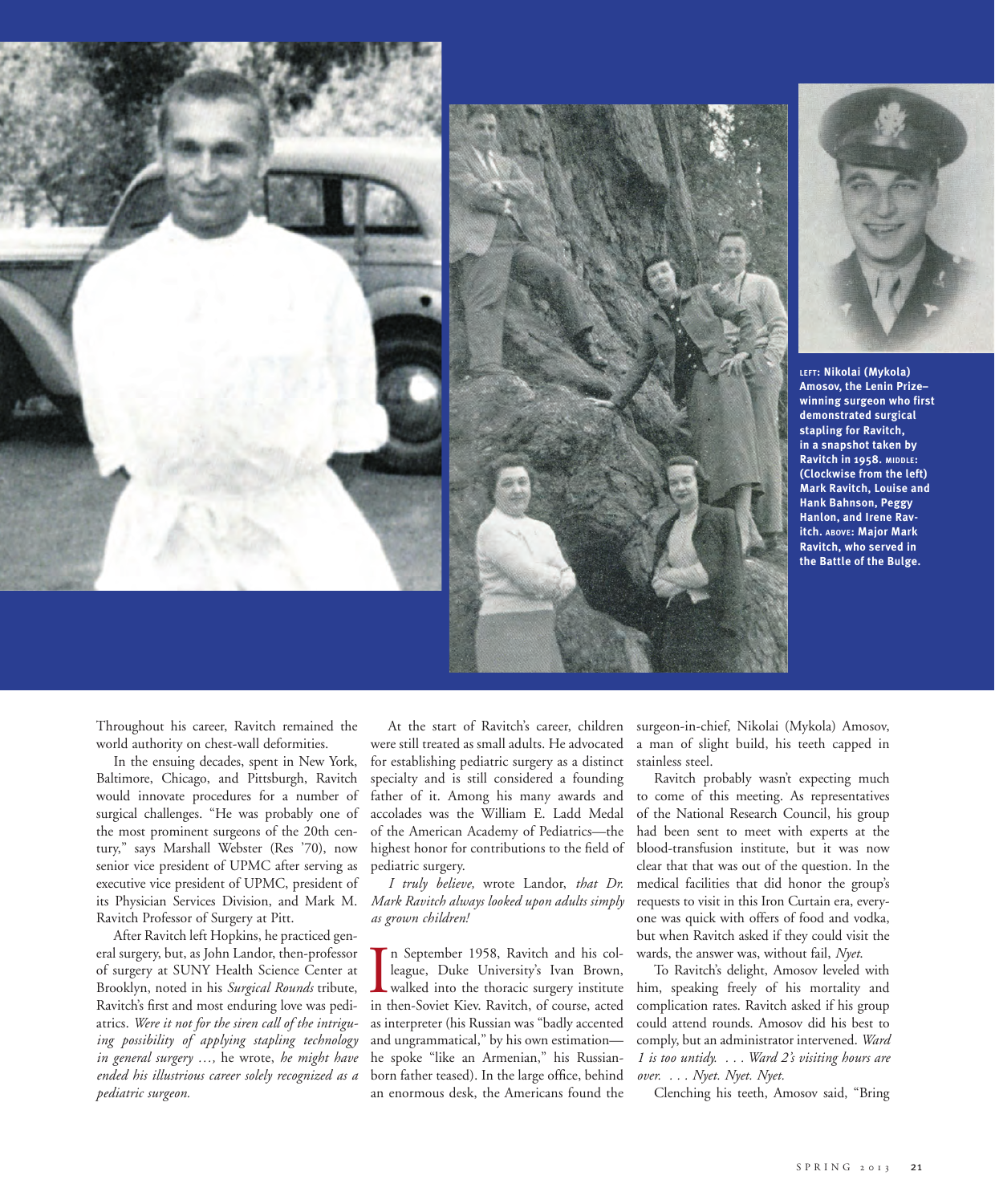



**left: Nikolai (Mykola) Amosov, the Lenin Prize– winning surgeon who first demonstrated surgical stapling for Ravitch, in a snapshot taken by Ravitch in 1958. middle: (Clockwise from the left) Mark Ravitch, Louise and Hank Bahnson, Peggy Hanlon, and Irene Ravitch. above: Major Mark Ravitch, who served in the Battle of the Bulge.**

Throughout his career, Ravitch remained the world authority on chest-wall deformities.

In the ensuing decades, spent in New York, Baltimore, Chicago, and Pittsburgh, Ravitch would innovate procedures for a number of surgical challenges. "He was probably one of the most prominent surgeons of the 20th century," says Marshall Webster (Res '70), now senior vice president of UPMC after serving as executive vice president of UPMC, president of its Physician Services Division, and Mark M. Ravitch Professor of Surgery at Pitt.

After Ravitch left Hopkins, he practiced general surgery, but, as John Landor, then-professor of surgery at SUNY Health Science Center at Brooklyn, noted in his *Surgical Rounds* tribute, Ravitch's first and most enduring love was pediatrics. *Were it not for the siren call of the intriguing possibility of applying stapling technology in general surgery …,* he wrote, *he might have ended his illustrious career solely recognized as a pediatric surgeon.*

At the start of Ravitch's career, children were still treated as small adults. He advocated for establishing pediatric surgery as a distinct specialty and is still considered a founding father of it. Among his many awards and accolades was the William E. Ladd Medal of the American Academy of Pediatrics—the highest honor for contributions to the field of pediatric surgery.

*I truly believe,* wrote Landor, *that Dr. Mark Ravitch always looked upon adults simply as grown children!* 

In September 1958, Ravitch and his colleague, Duke University's Ivan Brown, walked into the thoracic surgery institute in then-Soviet Kiev. Ravitch, of course, acted n September 1958, Ravitch and his colleague, Duke University's Ivan Brown, walked into the thoracic surgery institute as interpreter (his Russian was "badly accented and ungrammatical," by his own estimation he spoke "like an Armenian," his Russianborn father teased). In the large office, behind an enormous desk, the Americans found the

surgeon-in-chief, Nikolai (Mykola) Amosov, a man of slight build, his teeth capped in stainless steel.

Ravitch probably wasn't expecting much to come of this meeting. As representatives of the National Research Council, his group had been sent to meet with experts at the blood-transfusion institute, but it was now clear that that was out of the question. In the medical facilities that did honor the group's requests to visit in this Iron Curtain era, everyone was quick with offers of food and vodka, but when Ravitch asked if they could visit the wards, the answer was, without fail, *Nyet*.

To Ravitch's delight, Amosov leveled with him, speaking freely of his mortality and complication rates. Ravitch asked if his group could attend rounds. Amosov did his best to comply, but an administrator intervened. *Ward 1 is too untidy. . . . Ward 2's visiting hours are over. . . . Nyet. Nyet. Nyet.* 

Clenching his teeth, Amosov said, "Bring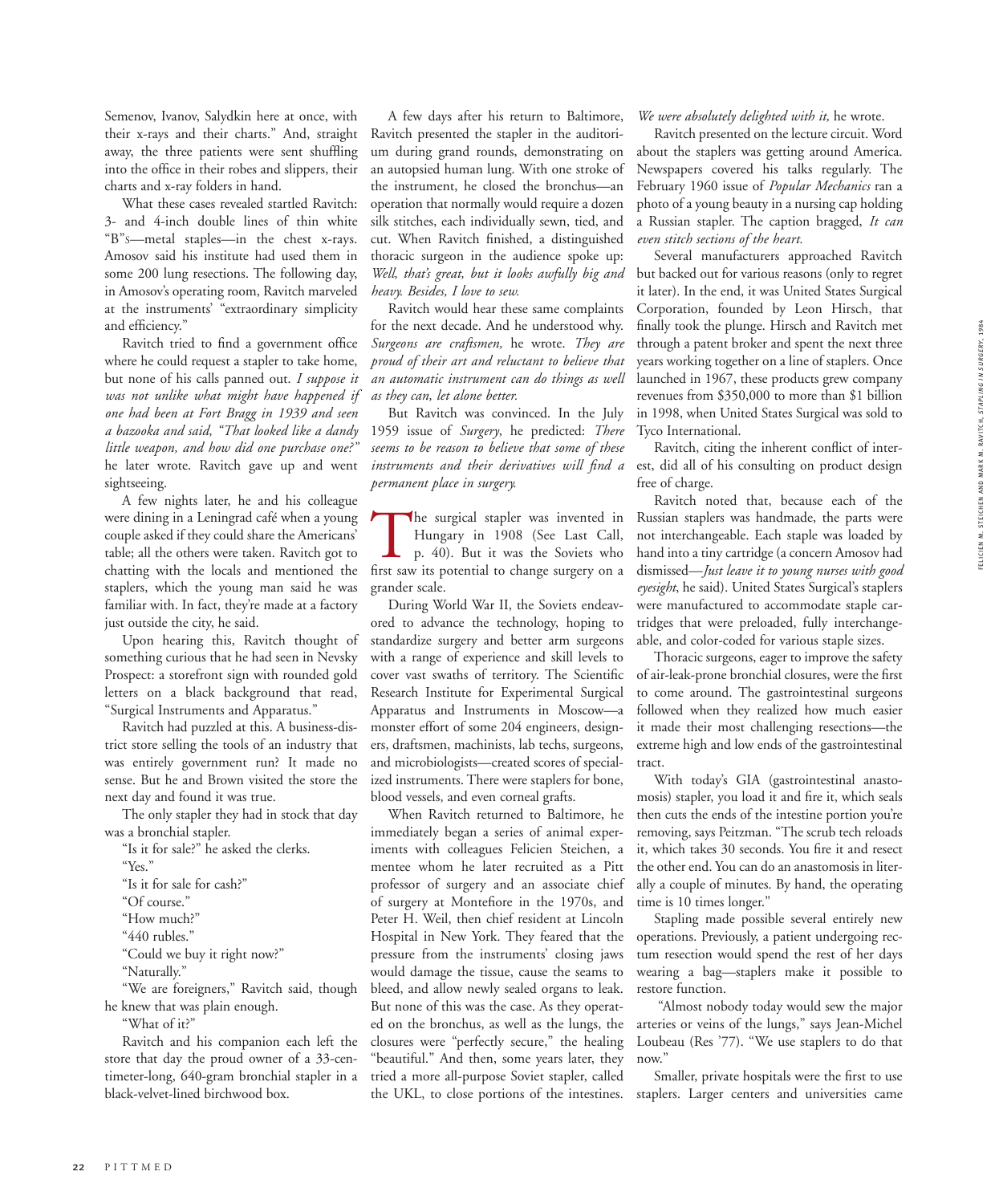Semenov, Ivanov, Salydkin here at once, with their x-rays and their charts." And, straight away, the three patients were sent shuffling into the office in their robes and slippers, their charts and x-ray folders in hand.

What these cases revealed startled Ravitch: 3- and 4-inch double lines of thin white "B"s—metal staples—in the chest x-rays. Amosov said his institute had used them in some 200 lung resections. The following day, in Amosov's operating room, Ravitch marveled at the instruments' "extraordinary simplicity and efficiency."

Ravitch tried to find a government office where he could request a stapler to take home, but none of his calls panned out. *I suppose it was not unlike what might have happened if one had been at Fort Bragg in 1939 and seen a bazooka and said, "That looked like a dandy little weapon, and how did one purchase one?"*  he later wrote. Ravitch gave up and went sightseeing.

A few nights later, he and his colleague were dining in a Leningrad café when a young couple asked if they could share the Americans' table; all the others were taken. Ravitch got to chatting with the locals and mentioned the staplers, which the young man said he was familiar with. In fact, they're made at a factory just outside the city, he said.

Upon hearing this, Ravitch thought of something curious that he had seen in Nevsky Prospect: a storefront sign with rounded gold letters on a black background that read, "Surgical Instruments and Apparatus."

Ravitch had puzzled at this. A business-district store selling the tools of an industry that was entirely government run? It made no sense. But he and Brown visited the store the next day and found it was true.

The only stapler they had in stock that day was a bronchial stapler.

"Is it for sale?" he asked the clerks.

- "Yes."
- "Is it for sale for cash?"
- "Of course."
- "How much?"
- "440 rubles."
- "Could we buy it right now?"
- "Naturally."

"We are foreigners," Ravitch said, though he knew that was plain enough.

"What of it?"

Ravitch and his companion each left the store that day the proud owner of a 33-centimeter-long, 640-gram bronchial stapler in a black-velvet-lined birchwood box.

A few days after his return to Baltimore, Ravitch presented the stapler in the auditorium during grand rounds, demonstrating on an autopsied human lung. With one stroke of the instrument, he closed the bronchus—an operation that normally would require a dozen silk stitches, each individually sewn, tied, and cut. When Ravitch finished, a distinguished thoracic surgeon in the audience spoke up: *Well, that's great, but it looks awfully big and heavy. Besides, I love to sew.*

Ravitch would hear these same complaints for the next decade. And he understood why. *Surgeons are craftsmen,* he wrote. *They are proud of their art and reluctant to believe that an automatic instrument can do things as well as they can, let alone better.*

But Ravitch was convinced. In the July 1959 issue of *Surgery*, he predicted: *There seems to be reason to believe that some of these instruments and their derivatives will find a permanent place in surgery.* 

The surgical stapler was invented in<br>Hungary in 1908 (See Last Call,<br>p. 40). But it was the Soviets who<br>first saw its potential to change surgery on a Hungary in 1908 (See Last Call, p. 40). But it was the Soviets who first saw its potential to change surgery on a grander scale.

During World War II, the Soviets endeavored to advance the technology, hoping to standardize surgery and better arm surgeons with a range of experience and skill levels to cover vast swaths of territory. The Scientific Research Institute for Experimental Surgical Apparatus and Instruments in Moscow—a monster effort of some 204 engineers, designers, draftsmen, machinists, lab techs, surgeons, and microbiologists—created scores of specialized instruments. There were staplers for bone, blood vessels, and even corneal grafts.

When Ravitch returned to Baltimore, he immediately began a series of animal experiments with colleagues Felicien Steichen, a mentee whom he later recruited as a Pitt professor of surgery and an associate chief of surgery at Montefiore in the 1970s, and Peter H. Weil, then chief resident at Lincoln Hospital in New York. They feared that the pressure from the instruments' closing jaws would damage the tissue, cause the seams to bleed, and allow newly sealed organs to leak. But none of this was the case. As they operated on the bronchus, as well as the lungs, the closures were "perfectly secure," the healing "beautiful." And then, some years later, they tried a more all-purpose Soviet stapler, called the UKL, to close portions of the intestines.

*We were absolutely delighted with it,* he wrote.

Ravitch presented on the lecture circuit. Word about the staplers was getting around America. Newspapers covered his talks regularly. The February 1960 issue of *Popular Mechanics* ran a photo of a young beauty in a nursing cap holding a Russian stapler. The caption bragged, *It can even stitch sections of the heart.*

Several manufacturers approached Ravitch but backed out for various reasons (only to regret it later). In the end, it was United States Surgical Corporation, founded by Leon Hirsch, that finally took the plunge. Hirsch and Ravitch met through a patent broker and spent the next three years working together on a line of staplers. Once launched in 1967, these products grew company revenues from \$350,000 to more than \$1 billion in 1998, when United States Surgical was sold to Tyco International.

Ravitch, citing the inherent conflict of interest, did all of his consulting on product design free of charge.

Ravitch noted that, because each of the Russian staplers was handmade, the parts were not interchangeable. Each staple was loaded by hand into a tiny cartridge (a concern Amosov had dismissed—*Just leave it to young nurses with good eyesight*, he said). United States Surgical's staplers were manufactured to accommodate staple cartridges that were preloaded, fully interchangeable, and color-coded for various staple sizes.

Thoracic surgeons, eager to improve the safety of air-leak-prone bronchial closures, were the first to come around. The gastrointestinal surgeons followed when they realized how much easier it made their most challenging resections—the extreme high and low ends of the gastrointestinal tract.

With today's GIA (gastrointestinal anastomosis) stapler, you load it and fire it, which seals then cuts the ends of the intestine portion you're removing, says Peitzman. "The scrub tech reloads it, which takes 30 seconds. You fire it and resect the other end. You can do an anastomosis in literally a couple of minutes. By hand, the operating time is 10 times longer."

Stapling made possible several entirely new operations. Previously, a patient undergoing rectum resection would spend the rest of her days wearing a bag—staplers make it possible to restore function.

 "Almost nobody today would sew the major arteries or veins of the lungs," says Jean-Michel Loubeau (Res '77). "We use staplers to do that now."

Smaller, private hospitals were the first to use staplers. Larger centers and universities came